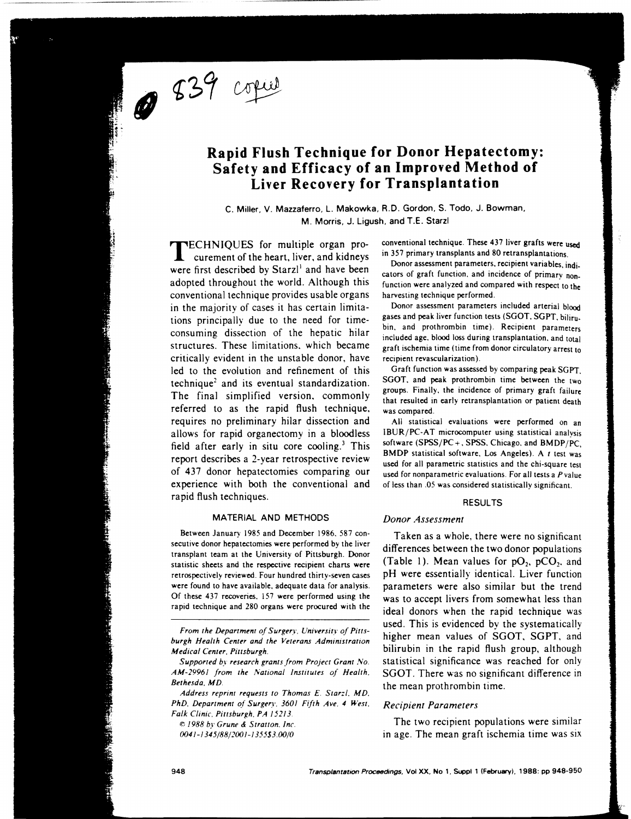839 copie

# **Rapid Flush Technique for Donor Hepatectomy: Safety and Efficacy of an Improved Method of Liver Recovery for Transplantation**

C. Miller. V. Mazzaferro. L. Makowka. R.D. Gordon. S. Todo. J. Bowman. M. Morris. J. Ligush. and T.E. Starzl

TECHNIQUES for multiple organ procurement of the heart, liver, and kidneys were first described by Starzl<sup>1</sup> and have been adopted throughout the world. Although this conventional technique provides usable organs in the majority of cases it has certain limitations principally due to the need for timeconsuming dissection of the hepatic hilar structures. These limitations. which became critically evident in the unstable donor, have led to the evolution and refinement of this  $technique<sup>2</sup>$  and its eventual standardization. The final simplified version. commonly referred to as the rapid flush technique. requires no preliminary hilar dissection and allows for rapid organectomy in a bloodless field after early in situ core cooling.<sup>3</sup> This report describes a 2-year retrospective review of 437 donor hepatectomies comparing our experience with both the conventional and rapid flush techniques.

## MATERIAL AND METHODS

Between January 1985 and December 1986. 587 consecutive donor hepatectomies were performed by the liver transplant team at the University of Pittsburgh. Donor statistic sheets and the respective recipient charts were retrospectively reviewed. Four hundred thirty-seven cases were found to have available. adequate data for analysis. Of these 437 recoveries. 157 were performed using the rapid technique and 280 organs were procured with the

© 1988 *by Grune* & *Strallon. Inc.*  0041 -I 345/88/200 1 -I 355S3.00/0

conventional technique. These 437 liver grafts were used in 357 primary transplants and 80 retransplantations.

Donor assessment parameters. recipient variables. indicators of graft function. and incidence of primary nonfunction were analyzed and compared with respect to the harvesting technique performed.

Donor assessment parameters included arterial blood gases and peak liver function tests (SGOT. SGPT. bilirubin. and prothrombin time). Recipient parameters included age. blood loss during transplantation. and total graft ischemia time (time from donor circulatory arrest to recipient revascularization).

Graft function was assessed by comparing peak SGPT. SGOT, and peak prothrombin time between the two groups. Finally. the incidence of primary graft failure that resulted in early retransplantation or patient death was compared.

All statistical evaluations were performed on an IBUR/PC-A T microcomputer using statistical analysis software (SPSS/PC+, SPSS, Chicago, and BMDP/PC, BMDP statistical software. Los Angeles). A *t* test was used for all parametric statistics and the chi-square test used for nonparametric evaluations. For all tests a *Pvalue*  of less than .05 was considered statistically significant.

## RESULTS

# *Donor Assessment*

Taken as a whole. there were no significant differences between the two donor populations (Table 1). Mean values for  $pO_2$ ,  $pCO_2$ , and pH were essentially identical. Liver function parameters were also similar but the trend was to accept livers from somewhat less than ideal donors when the rapid technique was used. This is evidenced by the systematically higher mean values of SGOT. SGPT. and bilirubin in the rapid flush group, although statistical significance was reached for only SGOT. There was no significant difference in the mean prothrombin time.

### *Recipient Parameters*

The two recipient populations were similar in age. The mean graft ischemia time was six

*From the Department of Surgery. University of Pillsburgh Heallh Center and the Veterans Admimstranon Medical Center. Pillsburgh.* 

*Supported by research grants from Project Grant No.*  AM-29961 from the National Institutes of Health. *Bethesda. MD.* 

Address reprint requests to Thomas E. Starzl. MD. *PhD. Department of Surgery. 3601 Fifth Ave. 4 West.*  $Falk$  Clinic. Pittsburgh. PA 15213.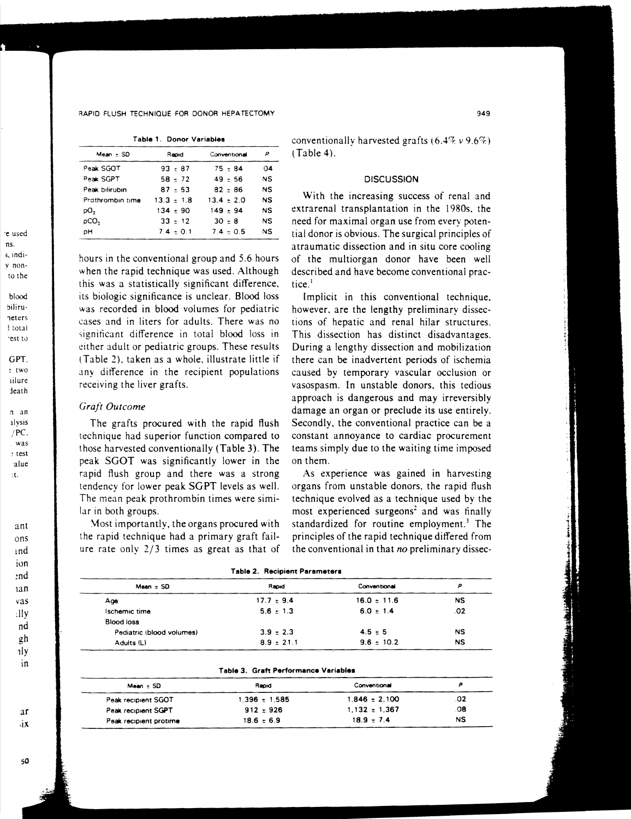#### RAPID FLUSH TECHNIQUE FOR DONOR HEPATECTOMY

|  | Table 1. Donor Variables |
|--|--------------------------|
|  |                          |

| $Mean = SD$      | Rapid        | Conventional   | Р  |
|------------------|--------------|----------------|----|
| Peak SGOT        | $93 - 87$    | $75 - 84$      | 04 |
| Peak SGPT        | $58 - 72$    | $49 - 56$      | NS |
| Peak bilirubin   | $87 - 53$    | 82 - 86        | NS |
| Prothrombin time | $13.3 + 1.8$ | $13.4 \pm 2.0$ | NS |
| pО,              | $134 + 90$   | $149 \pm 94$   | NS |
| pCO,             | $33 + 12$    | $30 - 8$       | NS |
| pН               | $7.4 - 0.1$  | $7.4 - 0.5$    | NS |

hours in the conventional group and 5.6 hours when the rapid technique was used. Although this was a statistically significant difference, its biologic significance is unclear. Blood loss was recorded in blood volumes for pediatric cases and in liters for adults. There was no significant difference in total blood loss in either adult or pediatric groups. These results (Table 2), taken as a whole, illustrate little if any difference in the recipient populations receiving the liver grafts.

## Graft Outcome

The grafts procured with the rapid flush technique had superior function compared to those harvested conventionally (Table 3). The peak SGOT was significantly lower in the rapid flush group and there was a strong tendency for lower peak SGPT levels as well. The mean peak prothrombin times were similar in both groups.

Most importantly, the organs procured with the rapid technique had a primary graft failure rate only  $2/3$  times as great as that of conventionally harvested grafts  $(6.4\% \nu 9.6\%)$  $(Table 4).$ 

## **DISCUSSION**

With the increasing success of renal and extrarenal transplantation in the 1980s, the need for maximal organ use from every potential donor is obvious. The surgical principles of atraumatic dissection and in situ core cooling of the multiorgan donor have been well described and have become conventional practice.<sup>1</sup>

Implicit in this conventional technique, however, are the lengthy preliminary dissections of hepatic and renal hilar structures. This dissection has distinct disadvantages. During a lengthy dissection and mobilization there can be inadvertent periods of ischemia caused by temporary vascular occlusion or vasospasm. In unstable donors, this tedious approach is dangerous and may irreversibly damage an organ or preclude its use entirely. Secondly, the conventional practice can be a constant annoyance to cardiac procurement teams simply due to the waiting time imposed on them.

As experience was gained in harvesting organs from unstable donors, the rapid flush technique evolved as a technique used by the most experienced surgeons<sup>2</sup> and was finally standardized for routine employment.<sup>3</sup> The principles of the rapid technique differed from the conventional in that no preliminary dissec-

| i able 2.  Kecipient Parameters |                 |           |  |  |
|---------------------------------|-----------------|-----------|--|--|
| Rapid                           | Conventional    | P         |  |  |
| $17.7 \pm 9.4$                  | $16.0 \pm 11.6$ | <b>NS</b> |  |  |
| $5.6 \pm 1.3$                   | $6.0 \pm 1.4$   | .02       |  |  |
|                                 |                 |           |  |  |
| $3.9 \pm 2.3$                   | $4.5 \pm 5$     | NS        |  |  |
| $8.9 \pm 21.1$                  | $9.6 \pm 10.2$  | NS        |  |  |
|                                 |                 |           |  |  |

#### Table 3. Graft Performance Variables

| Mean $\pm$ SD          | Rapid             | Conventional      |     |
|------------------------|-------------------|-------------------|-----|
| Peak recipient SGOT    | $1.396 \pm 1.585$ | $1.846 \pm 2.100$ | .02 |
| Peak recipient SGPT    | $912 \pm 926$     | $1.132 \pm 1.367$ | .08 |
| Peak recipient protime | $18.6 \pm 6.9$    | $18.9 + 7.4$      | NS  |

blood biliruneters i total rest to

GPT.  $:$  two iilure ieath

 $n$  an

alvsis  $/PC$ . was  $:$  test alue tt.

> ons ind ion end.  $13n$  $\vee$ as -:lly  $nd$ gh 1ly in

ant

 $a$ r  $\mathbf{X}$ 

50